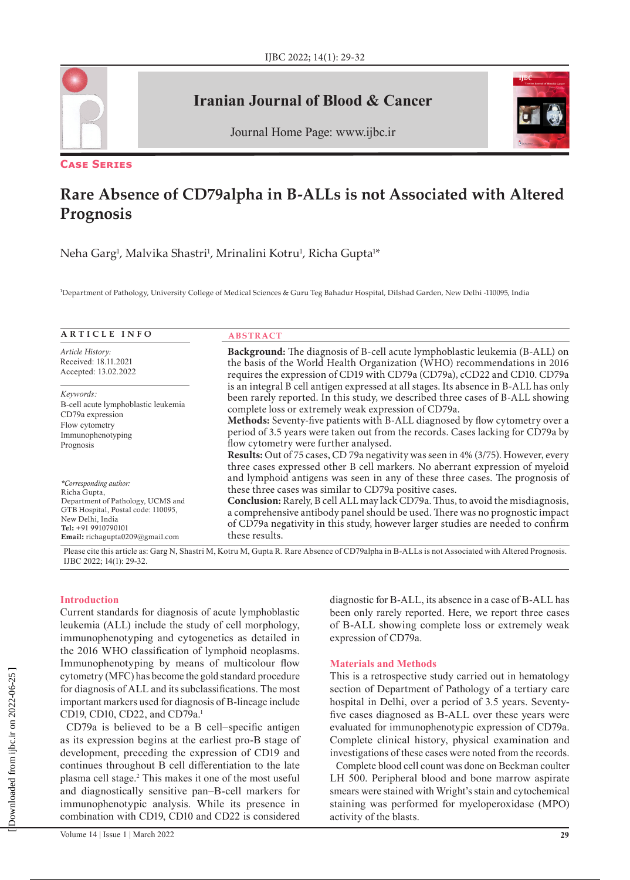

**Case Series**

## **Iranian Journal of Blood & Cancer**



Journal Home Page: www.ijbc.ir

# **Rare Absence of CD79alpha in B-ALLs is not Associated with Altered Prognosis**

Neha Garg<sup>1</sup>, Malvika Shastri<sup>1</sup>, Mrinalini Kotru<sup>1</sup>, Richa Gupta<sup>1\*</sup>

1 Department of Pathology, University College of Medical Sciences & Guru Teg Bahadur Hospital, Dilshad Garden, New Delhi -110095, India

| <b>ARTICLE INFO</b>                                                                                                                                                                             | <b>ABSTRACT</b>                                                                                                                                                                                                                                                                                                                                                                                                                                                                                                                                                                       |  |  |
|-------------------------------------------------------------------------------------------------------------------------------------------------------------------------------------------------|---------------------------------------------------------------------------------------------------------------------------------------------------------------------------------------------------------------------------------------------------------------------------------------------------------------------------------------------------------------------------------------------------------------------------------------------------------------------------------------------------------------------------------------------------------------------------------------|--|--|
| <i>Article History:</i>                                                                                                                                                                         | Background: The diagnosis of B-cell acute lymphoblastic leukemia (B-ALL) on                                                                                                                                                                                                                                                                                                                                                                                                                                                                                                           |  |  |
| Received: 18.11.2021                                                                                                                                                                            | the basis of the World Health Organization (WHO) recommendations in 2016                                                                                                                                                                                                                                                                                                                                                                                                                                                                                                              |  |  |
| Accepted: 13.02.2022                                                                                                                                                                            | requires the expression of CD19 with CD79a (CD79a), cCD22 and CD10. CD79a                                                                                                                                                                                                                                                                                                                                                                                                                                                                                                             |  |  |
| Keywords:                                                                                                                                                                                       | is an integral B cell antigen expressed at all stages. Its absence in B-ALL has only                                                                                                                                                                                                                                                                                                                                                                                                                                                                                                  |  |  |
| B-cell acute lymphoblastic leukemia                                                                                                                                                             | been rarely reported. In this study, we described three cases of B-ALL showing                                                                                                                                                                                                                                                                                                                                                                                                                                                                                                        |  |  |
| CD79a expression                                                                                                                                                                                | complete loss or extremely weak expression of CD79a.                                                                                                                                                                                                                                                                                                                                                                                                                                                                                                                                  |  |  |
| Flow cytometry                                                                                                                                                                                  | Methods: Seventy-five patients with B-ALL diagnosed by flow cytometry over a                                                                                                                                                                                                                                                                                                                                                                                                                                                                                                          |  |  |
| Immunophenotyping                                                                                                                                                                               | period of 3.5 years were taken out from the records. Cases lacking for CD79a by                                                                                                                                                                                                                                                                                                                                                                                                                                                                                                       |  |  |
| Prognosis                                                                                                                                                                                       | flow cytometry were further analysed.                                                                                                                                                                                                                                                                                                                                                                                                                                                                                                                                                 |  |  |
| *Corresponding author:<br>Richa Gupta,<br>Department of Pathology, UCMS and<br>GTB Hospital, Postal code: 110095,<br>New Delhi, India<br>Tel: +91 9910790101<br>Email: richagupta0209@gmail.com | Results: Out of 75 cases, CD 79a negativity was seen in 4% (3/75). However, every<br>three cases expressed other B cell markers. No aberrant expression of myeloid<br>and lymphoid antigens was seen in any of these three cases. The prognosis of<br>these three cases was similar to CD79a positive cases.<br>Conclusion: Rarely, B cell ALL may lack CD79a. Thus, to avoid the misdiagnosis,<br>a comprehensive antibody panel should be used. There was no prognostic impact<br>of CD79a negativity in this study, however larger studies are needed to confirm<br>these results. |  |  |

Please cite this article as: Garg N, Shastri M, Kotru M, Gupta R. Rare Absence of CD79alpha in B-ALLs is not Associated with Altered Prognosis. IJBC 2022; 14(1): 29-32.

## **Introduction**

Current standards for diagnosis of acute lymphoblastic leukemia (ALL) include the study of cell morphology, immunophenotyping and cytogenetics as detailed in the 2016 WHO classification of lymphoid neoplasms. Immunophenotyping by means of multicolour flow cytometry (MFC) has become the gold standard procedure for diagnosis of ALL and its subclassifications. The most important markers used for diagnosis of B-lineage include CD19, CD10, CD22, and CD79a.<sup>1</sup>

CD79a is believed to be a B cell–specific antigen as its expression begins at the earliest pro-B stage of development, preceding the expression of CD19 and continues throughout B cell differentiation to the late plasma cell stage.2 This makes it one of the most useful and diagnostically sensitive pan–B-cell markers for immunophenotypic analysis. While its presence in combination with CD19, CD10 and CD22 is considered

diagnostic for B-ALL, its absence in a case of B-ALL has been only rarely reported. Here, we report three cases of B-ALL showing complete loss or extremely weak expression of CD79a.

## **Materials and Methods**

This is a retrospective study carried out in hematology section of Department of Pathology of a tertiary care hospital in Delhi, over a period of 3.5 years. Seventyfive cases diagnosed as B-ALL over these years were evaluated for immunophenotypic expression of CD79a. Complete clinical history, physical examination and investigations of these cases were noted from the records.

Complete blood cell count was done on Beckman coulter LH 500. Peripheral blood and bone marrow aspirate smears were stained with Wright's stain and cytochemical staining was performed for myeloperoxidase (MPO) activity of the blasts.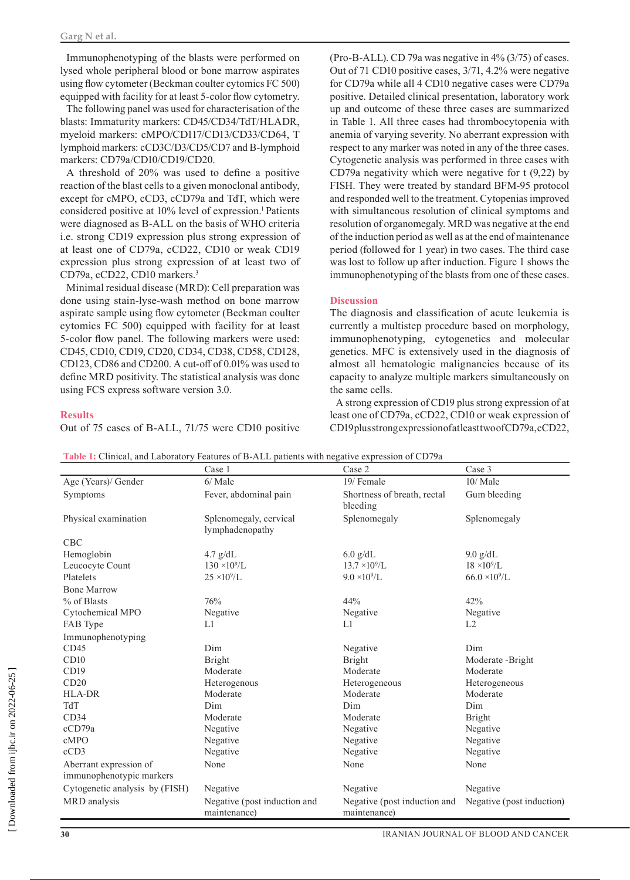Immunophenotyping of the blasts were performed on lysed whole peripheral blood or bone marrow aspirates using flow cytometer (Beckman coulter cytomics FC 500) equipped with facility for at least 5‑color flow cytometry.

The following panel was used for characterisation of the blasts: Immaturity markers: CD45/CD34/TdT/HLADR, myeloid markers: cMPO/CD117/CD13/CD33/CD64, T lymphoid markers: cCD3C/D3/CD5/CD7 and B-lymphoid markers: CD79a/CD10/CD19/CD20.

A threshold of 20% was used to define a positive reaction of the blast cells to a given monoclonal antibody, except for cMPO, cCD3, cCD79a and TdT, which were considered positive at 10% level of expression.<sup>1</sup> Patients were diagnosed as B-ALL on the basis of WHO criteria i.e. strong CD19 expression plus strong expression of at least one of CD79a, cCD22, CD10 or weak CD19 expression plus strong expression of at least two of CD79a, cCD22, CD10 markers.3

Minimal residual disease (MRD): Cell preparation was done using stain-lyse-wash method on bone marrow aspirate sample using flow cytometer (Beckman coulter cytomics FC 500) equipped with facility for at least 5‑color flow panel. The following markers were used: CD45, CD10, CD19, CD20, CD34, CD38, CD58, CD128, CD123, CD86 and CD200. A cut-off of 0.01% was used to define MRD positivity. The statistical analysis was done using FCS express software version 3.0.

#### **Results**

Out of 75 cases of B-ALL, 71/75 were CD10 positive

(Pro-B-ALL). CD 79a was negative in 4% (3/75) of cases. Out of 71 CD10 positive cases, 3/71, 4.2% were negative for CD79a while all 4 CD10 negative cases were CD79a positive. Detailed clinical presentation, laboratory work up and outcome of these three cases are summarized in Table 1. All three cases had thrombocytopenia with anemia of varying severity. No aberrant expression with respect to any marker was noted in any of the three cases. Cytogenetic analysis was performed in three cases with CD79a negativity which were negative for t (9,22) by FISH. They were treated by standard BFM-95 protocol and responded well to the treatment. Cytopenias improved with simultaneous resolution of clinical symptoms and resolution of organomegaly. MRD was negative at the end of the induction period as well as at the end of maintenance period (followed for 1 year) in two cases. The third case was lost to follow up after induction. Figure 1 shows the immunophenotyping of the blasts from one of these cases.

## **Discussion**

The diagnosis and classification of acute leukemia is currently a multistep procedure based on morphology, immunophenotyping, cytogenetics and molecular genetics. MFC is extensively used in the diagnosis of almost all hematologic malignancies because of its capacity to analyze multiple markers simultaneously on the same cells.

A strong expression of CD19 plus strong expression of at least one of CD79a, cCD22, CD10 or weak expression of CD19 plus strong expression of at least two of CD79a, cCD22,

| Table 1: Clinical, and Laboratory Features of B-ALL patients with negative expression of CD79a |        |        |        |  |
|------------------------------------------------------------------------------------------------|--------|--------|--------|--|
|                                                                                                | `ase l | Case ( | Case 3 |  |

|                                | Case 1                                    | Case 2                                  | Case 5                    |
|--------------------------------|-------------------------------------------|-----------------------------------------|---------------------------|
| Age (Years)/ Gender            | 6/Male                                    | 19/ Female                              | 10/ Male                  |
| Symptoms                       | Fever, abdominal pain                     | Shortness of breath, rectal<br>bleeding | Gum bleeding              |
| Physical examination           | Splenomegaly, cervical<br>lymphadenopathy | Splenomegaly                            | Splenomegaly              |
| CBC                            |                                           |                                         |                           |
| Hemoglobin                     | $4.7$ g/dL                                | $6.0$ g/dL                              | $9.0$ g/dL                |
| Leucocyte Count                | $130 \times 10^9$ /L                      | $13.7 \times 10^9$ /L                   | $18 \times 10^9$ /L       |
| Platelets                      | $25 \times 10^9$ /L                       | $9.0 \times 10^{9}$ /L                  | $66.0 \times 10^{9}$ /L   |
| <b>Bone Marrow</b>             |                                           |                                         |                           |
| % of Blasts                    | 76%                                       | 44%                                     | 42%                       |
| Cytochemical MPO               | Negative                                  | Negative                                | Negative                  |
| FAB Type                       | L1                                        | L1                                      | L2                        |
| Immunophenotyping              |                                           |                                         |                           |
| CD45                           | Dim                                       | Negative                                | Dim                       |
| CD10                           | <b>Bright</b>                             | Bright                                  | Moderate -Bright          |
| CD19                           | Moderate                                  | Moderate                                | Moderate                  |
| CD20                           | Heterogenous                              | Heterogeneous                           | Heterogeneous             |
| <b>HLA-DR</b>                  | Moderate                                  | Moderate                                | Moderate                  |
| TdT                            | Dim                                       | Dim                                     | Dim                       |
| CD34                           | Moderate                                  | Moderate                                | Bright                    |
| cCD79a                         | Negative                                  | Negative                                | Negative                  |
| cMPO                           | Negative                                  | Negative                                | Negative                  |
| cCD3                           | Negative                                  | Negative                                | Negative                  |
| Aberrant expression of         | None                                      | None                                    | None                      |
| immunophenotypic markers       |                                           |                                         |                           |
| Cytogenetic analysis by (FISH) | Negative                                  | Negative                                | Negative                  |
| MRD analysis                   | Negative (post induction and              | Negative (post induction and            | Negative (post induction) |
|                                | maintenance)                              | maintenance)                            |                           |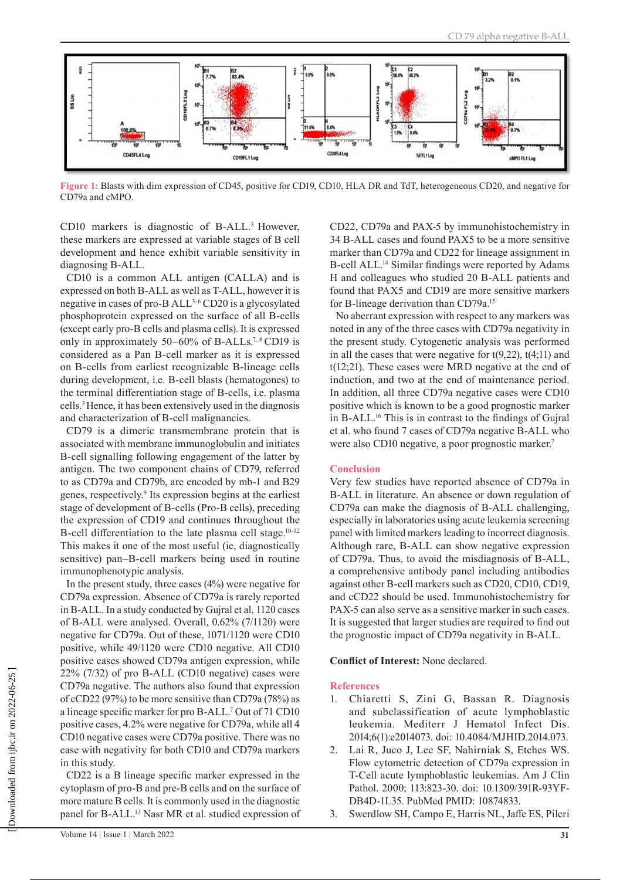

**Figure 1:** Blasts with dim expression of CD45, positive for CD19, CD10, HLA DR and TdT, heterogeneous CD20, and negative for CD79a and cMPO.

CD10 markers is diagnostic of B-ALL.<sup>3</sup> However, these markers are expressed at variable stages of B cell development and hence exhibit variable sensitivity in diagnosing B-ALL.

CD10 is a common ALL antigen (CALLA) and is expressed on both B-ALL as well as T-ALL, however it is negative in cases of pro-B ALL3-6 CD20 is a glycosylated phosphoprotein expressed on the surface of all B-cells (except early pro-B cells and plasma cells). It is expressed only in approximately 50–60% of B-ALLs.<sup>7, 8</sup> CD19 is considered as a Pan B-cell marker as it is expressed on B-cells from earliest recognizable B-lineage cells during development, i.e. B-cell blasts (hematogones) to the terminal differentiation stage of B-cells, i.e. plasma cells.3 Hence, it has been extensively used in the diagnosis and characterization of B-cell malignancies.

CD79 is a dimeric transmembrane protein that is associated with membrane immunoglobulin and initiates B-cell signalling following engagement of the latter by antigen. The two component chains of CD79, referred to as CD79a and CD79b, are encoded by mb-1 and B29 genes, respectively.<sup>9</sup> Its expression begins at the earliest stage of development of B-cells (Pro-B cells), preceding the expression of CD19 and continues throughout the B-cell differentiation to the late plasma cell stage.<sup>10-12</sup> This makes it one of the most useful (ie, diagnostically sensitive) pan–B-cell markers being used in routine immunophenotypic analysis.

In the present study, three cases (4%) were negative for CD79a expression. Absence of CD79a is rarely reported in B-ALL. In a study conducted by Gujral et al, 1120 cases of B-ALL were analysed. Overall, 0.62% (7/1120) were negative for CD79a. Out of these, 1071/1120 were CD10 positive, while 49/1120 were CD10 negative. All CD10 positive cases showed CD79a antigen expression, while 22% (7/32) of pro B-ALL (CD10 negative) cases were CD79a negative. The authors also found that expression of cCD22 (97%) to be more sensitive than CD79a (78%) as a lineage specific marker for pro B-ALL.<sup>7</sup> Out of 71 CD10 positive cases, 4.2% were negative for CD79a, while all 4 CD10 negative cases were CD79a positive. There was no case with negativity for both CD10 and CD79a markers in this study.

CD22 is a B lineage specific marker expressed in the cytoplasm of pro-B and pre-B cells and on the surface of more mature B cells. It is commonly used in the diagnostic panel for B-ALL.<sup>13</sup> Nasr MR et al. studied expression of CD22, CD79a and PAX-5 by immunohistochemistry in 34 B-ALL cases and found PAX5 to be a more sensitive marker than CD79a and CD22 for lineage assignment in B-cell ALL.<sup>14</sup> Similar findings were reported by Adams H and colleagues who studied 20 B-ALL patients and found that PAX5 and CD19 are more sensitive markers for B-lineage derivation than CD79a.15

No aberrant expression with respect to any markers was noted in any of the three cases with CD79a negativity in the present study. Cytogenetic analysis was performed in all the cases that were negative for  $t(9,22)$ ,  $t(4,11)$  and t(12;21). These cases were MRD negative at the end of induction, and two at the end of maintenance period. In addition, all three CD79a negative cases were CD10 positive which is known to be a good prognostic marker in B-ALL.<sup>16</sup> This is in contrast to the findings of Gujral et al. who found 7 cases of CD79a negative B-ALL who were also CD10 negative, a poor prognostic marker.7

## **Conclusion**

Very few studies have reported absence of CD79a in B-ALL in literature. An absence or down regulation of CD79a can make the diagnosis of B-ALL challenging, especially in laboratories using acute leukemia screening panel with limited markers leading to incorrect diagnosis. Although rare, B-ALL can show negative expression of CD79a. Thus, to avoid the misdiagnosis of B-ALL, a comprehensive antibody panel including antibodies against other B-cell markers such as CD20, CD10, CD19, and cCD22 should be used. Immunohistochemistry for PAX-5 can also serve as a sensitive marker in such cases. It is suggested that larger studies are required to find out the prognostic impact of CD79a negativity in B-ALL.

## **Conflict of Interest:** None declared.

#### **References**

- 1. Chiaretti S, Zini G, Bassan R. Diagnosis and subclassification of acute lymphoblastic leukemia. Mediterr J Hematol Infect Dis. 2014;6(1):e2014073. doi: 10.4084/MJHID.2014.073.
- 2. Lai R, Juco J, Lee SF, Nahirniak S, Etches WS. Flow cytometric detection of CD79a expression in T-Cell acute lymphoblastic leukemias. Am J Clin Pathol. 2000; 113:823-30. doi: 10.1309/391R-93YF-DB4D-1L35. PubMed PMID: 10874833.
- 3. Swerdlow SH, Campo E, Harris NL, Jaffe ES, Pileri